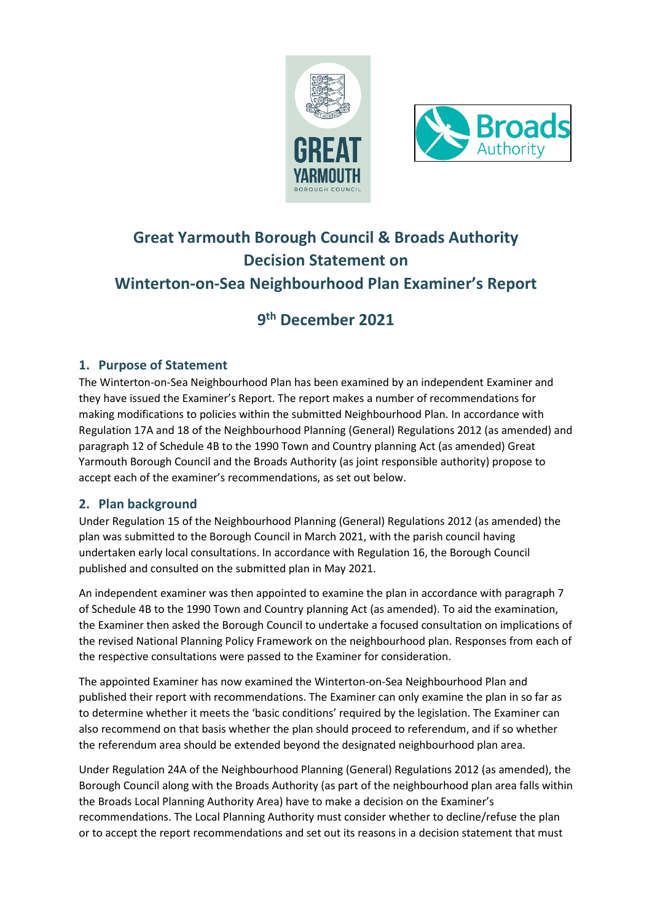



# **Great Yarmouth Borough Council & Broads Authority Decision Statement on Winterton-on-Sea Neighbourhood Plan Examiner's Report**

## **9th December 2021**

### **1. Purpose of Statement**

The Winterton-on-Sea Neighbourhood Plan has been examined by an independent Examiner and they have issued the Examiner's Report. The report makes a number of recommendations for making modifications to policies within the submitted Neighbourhood Plan. In accordance with Regulation 17A and 18 of the Neighbourhood Planning (General) Regulations 2012 (as amended) and paragraph 12 of Schedule 4B to the 1990 Town and Country planning Act (as amended) Great Yarmouth Borough Council and the Broads Authority (as joint responsible authority) propose to accept each of the examiner's recommendations, as set out below.

#### **2. Plan background**

Under Regulation 15 of the Neighbourhood Planning (General) Regulations 2012 (as amended) the plan was submitted to the Borough Council in March 2021, with the parish council having undertaken early local consultations. In accordance with Regulation 16, the Borough Council published and consulted on the submitted plan in May 2021.

An independent examiner was then appointed to examine the plan in accordance with paragraph 7 of Schedule 4B to the 1990 Town and Country planning Act (as amended). To aid the examination, the Examiner then asked the Borough Council to undertake a focused consultation on implications of the revised National Planning Policy Framework on the neighbourhood plan. Responses from each of the respective consultations were passed to the Examiner for consideration.

The appointed Examiner has now examined the Winterton-on-Sea Neighbourhood Plan and published their report with recommendations. The Examiner can only examine the plan in so far as to determine whether it meets the 'basic conditions' required by the legislation. The Examiner can also recommend on that basis whether the plan should proceed to referendum, and if so whether the referendum area should be extended beyond the designated neighbourhood plan area.

Under Regulation 24A of the Neighbourhood Planning (General) Regulations 2012 (as amended), the Borough Council along with the Broads Authority (as part of the neighbourhood plan area falls within the Broads Local Planning Authority Area) have to make a decision on the Examiner's recommendations. The Local Planning Authority must consider whether to decline/refuse the plan or to accept the report recommendations and set out its reasons in a decision statement that must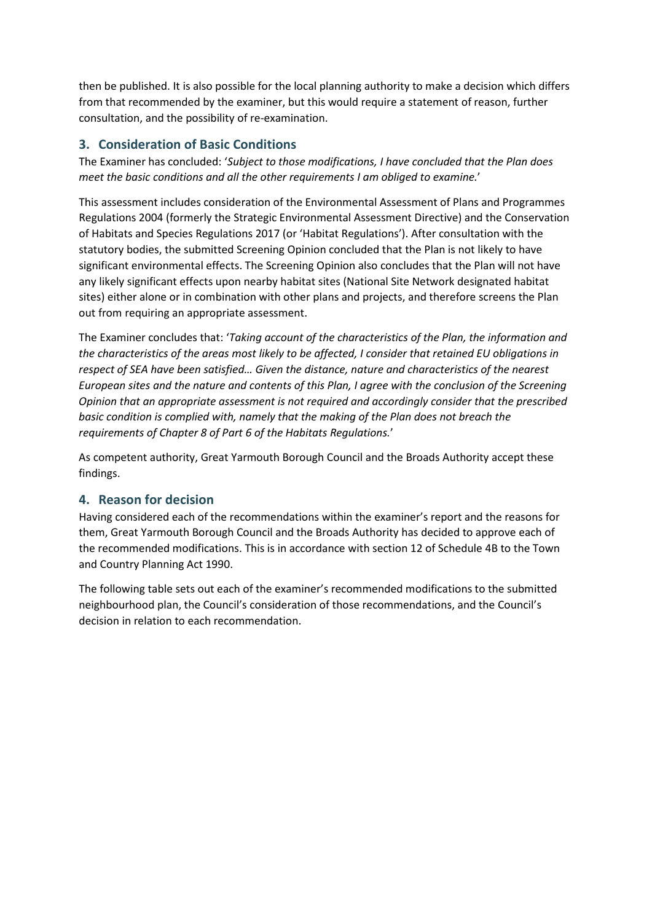then be published. It is also possible for the local planning authority to make a decision which differs from that recommended by the examiner, but this would require a statement of reason, further consultation, and the possibility of re-examination.

#### **3. Consideration of Basic Conditions**

The Examiner has concluded: '*Subject to those modifications, I have concluded that the Plan does meet the basic conditions and all the other requirements I am obliged to examine.*'

This assessment includes consideration of the Environmental Assessment of Plans and Programmes Regulations 2004 (formerly the Strategic Environmental Assessment Directive) and the Conservation of Habitats and Species Regulations 2017 (or 'Habitat Regulations'). After consultation with the statutory bodies, the submitted Screening Opinion concluded that the Plan is not likely to have significant environmental effects. The Screening Opinion also concludes that the Plan will not have any likely significant effects upon nearby habitat sites (National Site Network designated habitat sites) either alone or in combination with other plans and projects, and therefore screens the Plan out from requiring an appropriate assessment.

The Examiner concludes that: '*Taking account of the characteristics of the Plan, the information and the characteristics of the areas most likely to be affected, I consider that retained EU obligations in respect of SEA have been satisfied… Given the distance, nature and characteristics of the nearest European sites and the nature and contents of this Plan, I agree with the conclusion of the Screening Opinion that an appropriate assessment is not required and accordingly consider that the prescribed basic condition is complied with, namely that the making of the Plan does not breach the requirements of Chapter 8 of Part 6 of the Habitats Regulations.*'

As competent authority, Great Yarmouth Borough Council and the Broads Authority accept these findings.

#### **4. Reason for decision**

Having considered each of the recommendations within the examiner's report and the reasons for them, Great Yarmouth Borough Council and the Broads Authority has decided to approve each of the recommended modifications. This is in accordance with section 12 of Schedule 4B to the Town and Country Planning Act 1990.

The following table sets out each of the examiner's recommended modifications to the submitted neighbourhood plan, the Council's consideration of those recommendations, and the Council's decision in relation to each recommendation.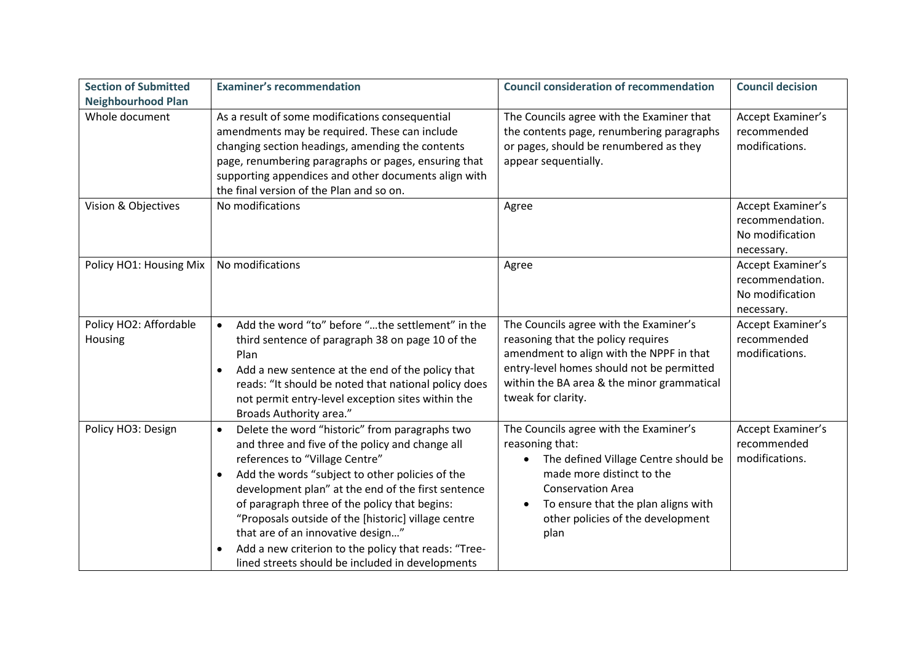| <b>Section of Submitted</b>       | <b>Examiner's recommendation</b>                                                                                                                                                                                                                                                                                                                                                                                                                                                                                   | <b>Council consideration of recommendation</b>                                                                                                                                                                                                              | <b>Council decision</b>                                               |
|-----------------------------------|--------------------------------------------------------------------------------------------------------------------------------------------------------------------------------------------------------------------------------------------------------------------------------------------------------------------------------------------------------------------------------------------------------------------------------------------------------------------------------------------------------------------|-------------------------------------------------------------------------------------------------------------------------------------------------------------------------------------------------------------------------------------------------------------|-----------------------------------------------------------------------|
| <b>Neighbourhood Plan</b>         |                                                                                                                                                                                                                                                                                                                                                                                                                                                                                                                    |                                                                                                                                                                                                                                                             |                                                                       |
| Whole document                    | As a result of some modifications consequential<br>amendments may be required. These can include<br>changing section headings, amending the contents<br>page, renumbering paragraphs or pages, ensuring that<br>supporting appendices and other documents align with<br>the final version of the Plan and so on.                                                                                                                                                                                                   | The Councils agree with the Examiner that<br>the contents page, renumbering paragraphs<br>or pages, should be renumbered as they<br>appear sequentially.                                                                                                    | Accept Examiner's<br>recommended<br>modifications.                    |
| Vision & Objectives               | No modifications                                                                                                                                                                                                                                                                                                                                                                                                                                                                                                   | Agree                                                                                                                                                                                                                                                       | Accept Examiner's<br>recommendation.<br>No modification<br>necessary. |
| Policy HO1: Housing Mix           | No modifications                                                                                                                                                                                                                                                                                                                                                                                                                                                                                                   | Agree                                                                                                                                                                                                                                                       | Accept Examiner's<br>recommendation.<br>No modification<br>necessary. |
| Policy HO2: Affordable<br>Housing | Add the word "to" before "the settlement" in the<br>$\bullet$<br>third sentence of paragraph 38 on page 10 of the<br>Plan<br>Add a new sentence at the end of the policy that<br>reads: "It should be noted that national policy does<br>not permit entry-level exception sites within the<br>Broads Authority area."                                                                                                                                                                                              | The Councils agree with the Examiner's<br>reasoning that the policy requires<br>amendment to align with the NPPF in that<br>entry-level homes should not be permitted<br>within the BA area & the minor grammatical<br>tweak for clarity.                   | Accept Examiner's<br>recommended<br>modifications.                    |
| Policy HO3: Design                | Delete the word "historic" from paragraphs two<br>$\bullet$<br>and three and five of the policy and change all<br>references to "Village Centre"<br>Add the words "subject to other policies of the<br>development plan" at the end of the first sentence<br>of paragraph three of the policy that begins:<br>"Proposals outside of the [historic] village centre<br>that are of an innovative design"<br>Add a new criterion to the policy that reads: "Tree-<br>lined streets should be included in developments | The Councils agree with the Examiner's<br>reasoning that:<br>The defined Village Centre should be<br>made more distinct to the<br><b>Conservation Area</b><br>To ensure that the plan aligns with<br>$\bullet$<br>other policies of the development<br>plan | Accept Examiner's<br>recommended<br>modifications.                    |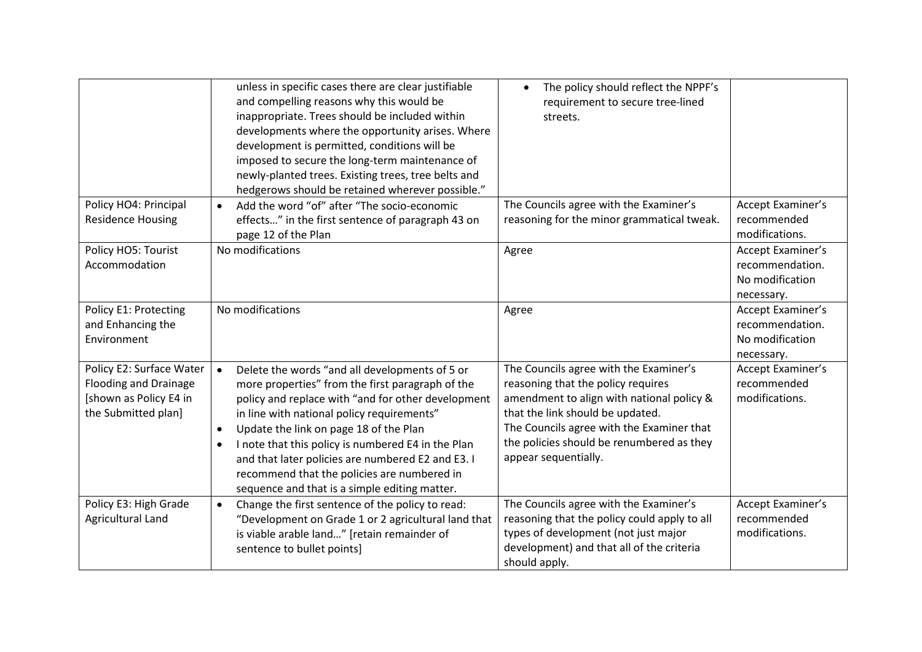|                                                                                                           | unless in specific cases there are clear justifiable<br>and compelling reasons why this would be<br>inappropriate. Trees should be included within<br>developments where the opportunity arises. Where<br>development is permitted, conditions will be<br>imposed to secure the long-term maintenance of<br>newly-planted trees. Existing trees, tree belts and<br>hedgerows should be retained wherever possible."                                                                                | The policy should reflect the NPPF's<br>$\bullet$<br>requirement to secure tree-lined<br>streets.                                                                                                                                                                               |                                                                       |
|-----------------------------------------------------------------------------------------------------------|----------------------------------------------------------------------------------------------------------------------------------------------------------------------------------------------------------------------------------------------------------------------------------------------------------------------------------------------------------------------------------------------------------------------------------------------------------------------------------------------------|---------------------------------------------------------------------------------------------------------------------------------------------------------------------------------------------------------------------------------------------------------------------------------|-----------------------------------------------------------------------|
| Policy HO4: Principal<br><b>Residence Housing</b>                                                         | Add the word "of" after "The socio-economic<br>$\bullet$<br>effects" in the first sentence of paragraph 43 on<br>page 12 of the Plan                                                                                                                                                                                                                                                                                                                                                               | The Councils agree with the Examiner's<br>reasoning for the minor grammatical tweak.                                                                                                                                                                                            | Accept Examiner's<br>recommended<br>modifications.                    |
| Policy HO5: Tourist<br>Accommodation                                                                      | No modifications                                                                                                                                                                                                                                                                                                                                                                                                                                                                                   | Agree                                                                                                                                                                                                                                                                           | Accept Examiner's<br>recommendation.<br>No modification<br>necessary. |
| Policy E1: Protecting<br>and Enhancing the<br>Environment                                                 | No modifications                                                                                                                                                                                                                                                                                                                                                                                                                                                                                   | Agree                                                                                                                                                                                                                                                                           | Accept Examiner's<br>recommendation.<br>No modification<br>necessary. |
| Policy E2: Surface Water<br><b>Flooding and Drainage</b><br>[shown as Policy E4 in<br>the Submitted plan] | Delete the words "and all developments of 5 or<br>$\bullet$<br>more properties" from the first paragraph of the<br>policy and replace with "and for other development<br>in line with national policy requirements"<br>Update the link on page 18 of the Plan<br>$\bullet$<br>I note that this policy is numbered E4 in the Plan<br>$\bullet$<br>and that later policies are numbered E2 and E3. I<br>recommend that the policies are numbered in<br>sequence and that is a simple editing matter. | The Councils agree with the Examiner's<br>reasoning that the policy requires<br>amendment to align with national policy &<br>that the link should be updated.<br>The Councils agree with the Examiner that<br>the policies should be renumbered as they<br>appear sequentially. | Accept Examiner's<br>recommended<br>modifications.                    |
| Policy E3: High Grade<br>Agricultural Land                                                                | Change the first sentence of the policy to read:<br>$\bullet$<br>"Development on Grade 1 or 2 agricultural land that<br>is viable arable land" [retain remainder of<br>sentence to bullet points]                                                                                                                                                                                                                                                                                                  | The Councils agree with the Examiner's<br>reasoning that the policy could apply to all<br>types of development (not just major<br>development) and that all of the criteria<br>should apply.                                                                                    | Accept Examiner's<br>recommended<br>modifications.                    |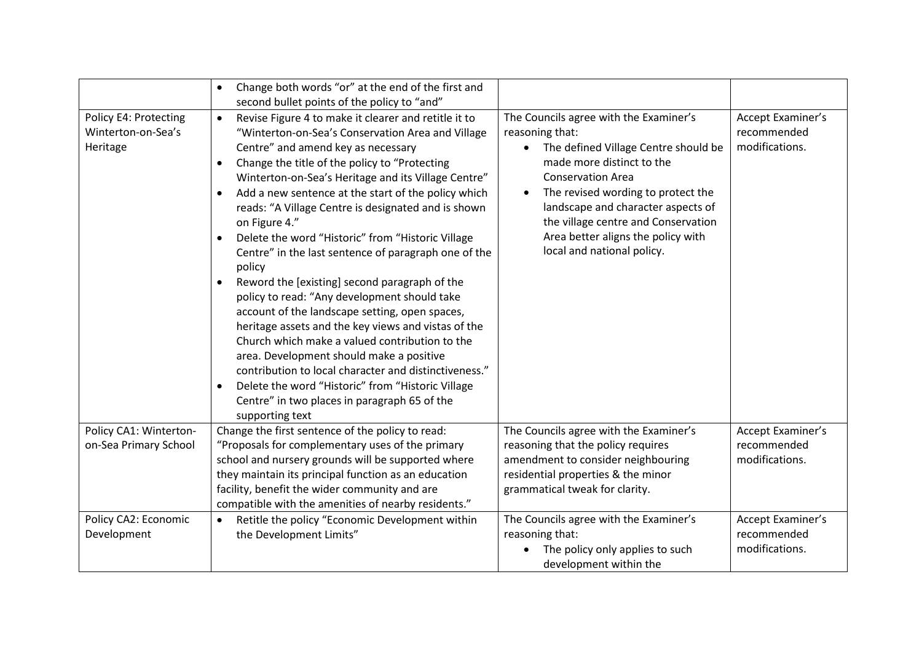|                                                         | Change both words "or" at the end of the first and<br>$\bullet$<br>second bullet points of the policy to "and"                                                                                                                                                                                                                                                                                                                                                                                                                                                                                                                                                                                                                                                                                                                                                                                                                                                                                                                                             |                                                                                                                                                                                                                                                                                                                                                                |                                                    |
|---------------------------------------------------------|------------------------------------------------------------------------------------------------------------------------------------------------------------------------------------------------------------------------------------------------------------------------------------------------------------------------------------------------------------------------------------------------------------------------------------------------------------------------------------------------------------------------------------------------------------------------------------------------------------------------------------------------------------------------------------------------------------------------------------------------------------------------------------------------------------------------------------------------------------------------------------------------------------------------------------------------------------------------------------------------------------------------------------------------------------|----------------------------------------------------------------------------------------------------------------------------------------------------------------------------------------------------------------------------------------------------------------------------------------------------------------------------------------------------------------|----------------------------------------------------|
| Policy E4: Protecting<br>Winterton-on-Sea's<br>Heritage | Revise Figure 4 to make it clearer and retitle it to<br>$\bullet$<br>"Winterton-on-Sea's Conservation Area and Village<br>Centre" and amend key as necessary<br>Change the title of the policy to "Protecting<br>Winterton-on-Sea's Heritage and its Village Centre"<br>Add a new sentence at the start of the policy which<br>$\bullet$<br>reads: "A Village Centre is designated and is shown<br>on Figure 4."<br>Delete the word "Historic" from "Historic Village<br>$\bullet$<br>Centre" in the last sentence of paragraph one of the<br>policy<br>Reword the [existing] second paragraph of the<br>policy to read: "Any development should take<br>account of the landscape setting, open spaces,<br>heritage assets and the key views and vistas of the<br>Church which make a valued contribution to the<br>area. Development should make a positive<br>contribution to local character and distinctiveness."<br>Delete the word "Historic" from "Historic Village<br>$\bullet$<br>Centre" in two places in paragraph 65 of the<br>supporting text | The Councils agree with the Examiner's<br>reasoning that:<br>The defined Village Centre should be<br>made more distinct to the<br><b>Conservation Area</b><br>The revised wording to protect the<br>$\bullet$<br>landscape and character aspects of<br>the village centre and Conservation<br>Area better aligns the policy with<br>local and national policy. | Accept Examiner's<br>recommended<br>modifications. |
| Policy CA1: Winterton-<br>on-Sea Primary School         | Change the first sentence of the policy to read:<br>"Proposals for complementary uses of the primary<br>school and nursery grounds will be supported where<br>they maintain its principal function as an education<br>facility, benefit the wider community and are<br>compatible with the amenities of nearby residents."                                                                                                                                                                                                                                                                                                                                                                                                                                                                                                                                                                                                                                                                                                                                 | The Councils agree with the Examiner's<br>reasoning that the policy requires<br>amendment to consider neighbouring<br>residential properties & the minor<br>grammatical tweak for clarity.                                                                                                                                                                     | Accept Examiner's<br>recommended<br>modifications. |
| Policy CA2: Economic<br>Development                     | Retitle the policy "Economic Development within<br>$\bullet$<br>the Development Limits"                                                                                                                                                                                                                                                                                                                                                                                                                                                                                                                                                                                                                                                                                                                                                                                                                                                                                                                                                                    | The Councils agree with the Examiner's<br>reasoning that:<br>The policy only applies to such<br>development within the                                                                                                                                                                                                                                         | Accept Examiner's<br>recommended<br>modifications. |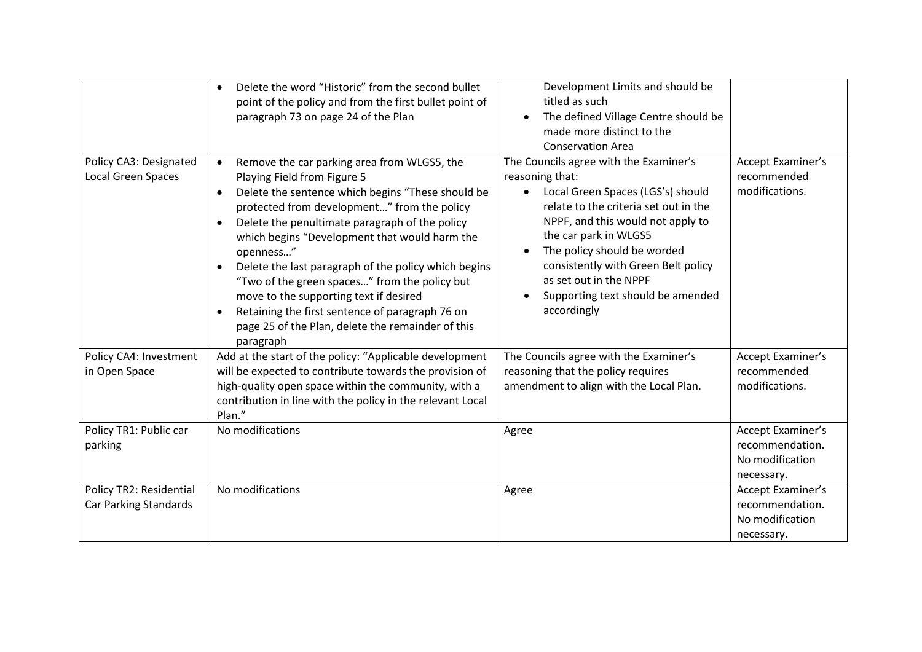| Policy CA3: Designated<br><b>Local Green Spaces</b>     | Delete the word "Historic" from the second bullet<br>$\bullet$<br>point of the policy and from the first bullet point of<br>paragraph 73 on page 24 of the Plan<br>Remove the car parking area from WLGS5, the<br>$\bullet$<br>Playing Field from Figure 5<br>Delete the sentence which begins "These should be<br>$\bullet$<br>protected from development" from the policy<br>Delete the penultimate paragraph of the policy<br>$\bullet$<br>which begins "Development that would harm the<br>openness"<br>Delete the last paragraph of the policy which begins<br>$\bullet$<br>"Two of the green spaces" from the policy but<br>move to the supporting text if desired<br>Retaining the first sentence of paragraph 76 on<br>$\bullet$<br>page 25 of the Plan, delete the remainder of this<br>paragraph | Development Limits and should be<br>titled as such<br>The defined Village Centre should be<br>$\bullet$<br>made more distinct to the<br><b>Conservation Area</b><br>The Councils agree with the Examiner's<br>reasoning that:<br>Local Green Spaces (LGS's) should<br>$\bullet$<br>relate to the criteria set out in the<br>NPPF, and this would not apply to<br>the car park in WLGS5<br>The policy should be worded<br>$\bullet$<br>consistently with Green Belt policy<br>as set out in the NPPF<br>Supporting text should be amended<br>$\bullet$<br>accordingly | Accept Examiner's<br>recommended<br>modifications.                    |
|---------------------------------------------------------|------------------------------------------------------------------------------------------------------------------------------------------------------------------------------------------------------------------------------------------------------------------------------------------------------------------------------------------------------------------------------------------------------------------------------------------------------------------------------------------------------------------------------------------------------------------------------------------------------------------------------------------------------------------------------------------------------------------------------------------------------------------------------------------------------------|----------------------------------------------------------------------------------------------------------------------------------------------------------------------------------------------------------------------------------------------------------------------------------------------------------------------------------------------------------------------------------------------------------------------------------------------------------------------------------------------------------------------------------------------------------------------|-----------------------------------------------------------------------|
| Policy CA4: Investment<br>in Open Space                 | Add at the start of the policy: "Applicable development<br>will be expected to contribute towards the provision of<br>high-quality open space within the community, with a<br>contribution in line with the policy in the relevant Local<br>Plan."                                                                                                                                                                                                                                                                                                                                                                                                                                                                                                                                                         | The Councils agree with the Examiner's<br>reasoning that the policy requires<br>amendment to align with the Local Plan.                                                                                                                                                                                                                                                                                                                                                                                                                                              | Accept Examiner's<br>recommended<br>modifications.                    |
| Policy TR1: Public car<br>parking                       | No modifications                                                                                                                                                                                                                                                                                                                                                                                                                                                                                                                                                                                                                                                                                                                                                                                           | Agree                                                                                                                                                                                                                                                                                                                                                                                                                                                                                                                                                                | Accept Examiner's<br>recommendation.<br>No modification<br>necessary. |
| Policy TR2: Residential<br><b>Car Parking Standards</b> | No modifications                                                                                                                                                                                                                                                                                                                                                                                                                                                                                                                                                                                                                                                                                                                                                                                           | Agree                                                                                                                                                                                                                                                                                                                                                                                                                                                                                                                                                                | Accept Examiner's<br>recommendation.<br>No modification<br>necessary. |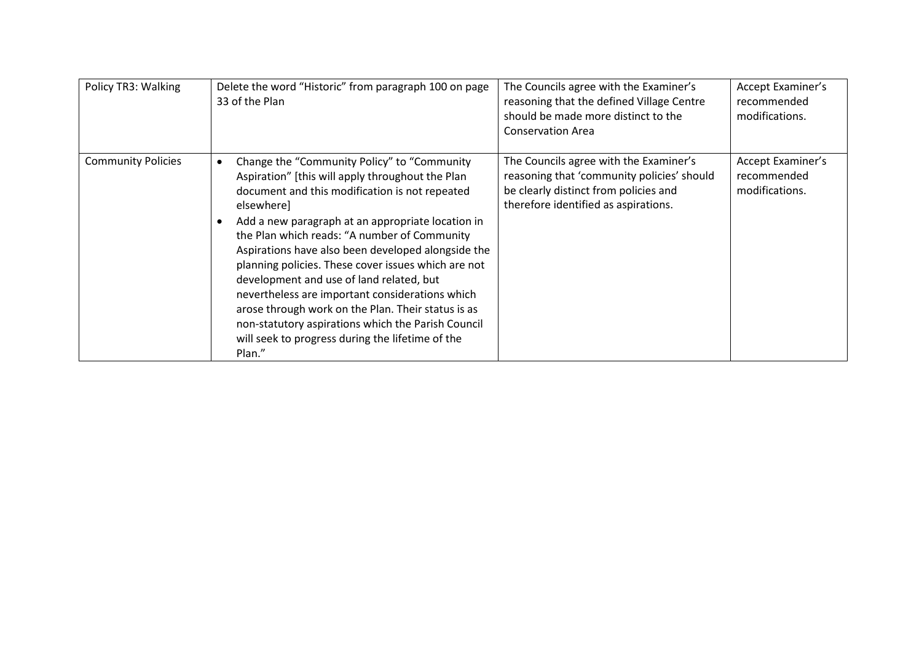| Policy TR3: Walking       | Delete the word "Historic" from paragraph 100 on page<br>33 of the Plan                                                                                                                                                                                                                                                                                                                                                                                                                                                                                                                                                                                    | The Councils agree with the Examiner's<br>reasoning that the defined Village Centre<br>should be made more distinct to the<br><b>Conservation Area</b>                | Accept Examiner's<br>recommended<br>modifications.        |
|---------------------------|------------------------------------------------------------------------------------------------------------------------------------------------------------------------------------------------------------------------------------------------------------------------------------------------------------------------------------------------------------------------------------------------------------------------------------------------------------------------------------------------------------------------------------------------------------------------------------------------------------------------------------------------------------|-----------------------------------------------------------------------------------------------------------------------------------------------------------------------|-----------------------------------------------------------|
| <b>Community Policies</b> | Change the "Community Policy" to "Community<br>Aspiration" [this will apply throughout the Plan<br>document and this modification is not repeated<br>elsewhere]<br>Add a new paragraph at an appropriate location in<br>the Plan which reads: "A number of Community<br>Aspirations have also been developed alongside the<br>planning policies. These cover issues which are not<br>development and use of land related, but<br>nevertheless are important considerations which<br>arose through work on the Plan. Their status is as<br>non-statutory aspirations which the Parish Council<br>will seek to progress during the lifetime of the<br>Plan." | The Councils agree with the Examiner's<br>reasoning that 'community policies' should<br>be clearly distinct from policies and<br>therefore identified as aspirations. | <b>Accept Examiner's</b><br>recommended<br>modifications. |